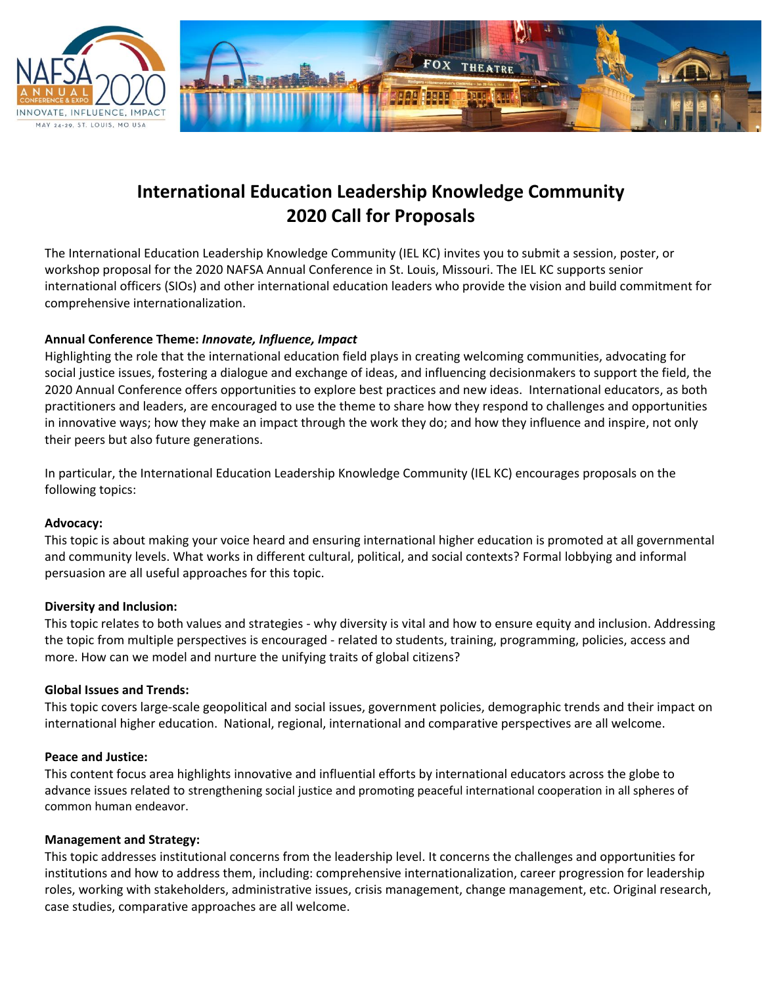



# **International Education Leadership Knowledge Community 2020 Call for Proposals**

The International Education Leadership Knowledge Community (IEL KC) invites you to submit a session, poster, or workshop proposal for the 2020 NAFSA Annual Conference in St. Louis, Missouri. The IEL KC supports senior international officers (SIOs) and other international education leaders who provide the vision and build commitment for comprehensive internationalization.

## **Annual Conference Theme:** *Innovate, Influence, Impact*

Highlighting the role that the international education field plays in creating welcoming communities, advocating for social justice issues, fostering a dialogue and exchange of ideas, and influencing decisionmakers to support the field, the 2020 Annual Conference offers opportunities to explore best practices and new ideas. International educators, as both practitioners and leaders, are encouraged to use the theme to share how they respond to challenges and opportunities in innovative ways; how they make an impact through the work they do; and how they influence and inspire, not only their peers but also future generations.

In particular, the International Education Leadership Knowledge Community (IEL KC) encourages proposals on the following topics:

#### **Advocacy:**

This topic is about making your voice heard and ensuring international higher education is promoted at all governmental and community levels. What works in different cultural, political, and social contexts? Formal lobbying and informal persuasion are all useful approaches for this topic.

#### **Diversity and Inclusion:**

This topic relates to both values and strategies - why diversity is vital and how to ensure equity and inclusion. Addressing the topic from multiple perspectives is encouraged - related to students, training, programming, policies, access and more. How can we model and nurture the unifying traits of global citizens?

#### **Global Issues and Trends:**

This topic covers large-scale geopolitical and social issues, government policies, demographic trends and their impact on international higher education. National, regional, international and comparative perspectives are all welcome.

#### **Peace and Justice:**

This content focus area highlights innovative and influential efforts by international educators across the globe to advance issues related to strengthening social justice and promoting peaceful international cooperation in all spheres of common human endeavor.

#### **Management and Strategy:**

This topic addresses institutional concerns from the leadership level. It concerns the challenges and opportunities for institutions and how to address them, including: comprehensive internationalization, career progression for leadership roles, working with stakeholders, administrative issues, crisis management, change management, etc. Original research, case studies, comparative approaches are all welcome.